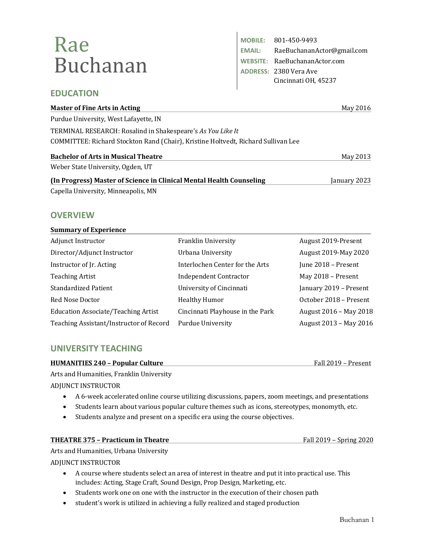# Rae Buchanan

**MOBILE:** 801-450-9493 **EMAIL:** RaeBuchananActor@gmail.com **WEBSITE:** RaeBuchananActor.com **ADDRESS:** 2380 Vera Ave Cincinnati OH, 45237

# **EDUCATION**

| <b>Master of Fine Arts in Acting</b>                                              | May 2016     |
|-----------------------------------------------------------------------------------|--------------|
| Purdue University, West Lafayette, IN                                             |              |
| TERMINAL RESEARCH: Rosalind in Shakespeare's As You Like It                       |              |
| COMMITTEE: Richard Stockton Rand (Chair), Kristine Holtvedt, Richard Sullivan Lee |              |
| <b>Bachelor of Arts in Musical Theatre</b>                                        | May 2013     |
| Weber State University, Ogden, UT                                                 |              |
| (In Progress) Master of Science in Clinical Mental Health Counseling              | January 2023 |

Capella University, Minneapolis, MN

# **OVERVIEW**

#### **Summary of Experience**

| <b>Adjunct Instructor</b>                  | Franklin University              | August 2019-Present    |
|--------------------------------------------|----------------------------------|------------------------|
| Director/Adjunct Instructor                | Urbana University                | August 2019-May 2020   |
| Instructor of Jr. Acting                   | Interlochen Center for the Arts  | June 2018 - Present    |
| <b>Teaching Artist</b>                     | <b>Independent Contractor</b>    | May 2018 - Present     |
| Standardized Patient                       | University of Cincinnati         | January 2019 - Present |
| Red Nose Doctor                            | <b>Healthy Humor</b>             | October 2018 – Present |
| <b>Education Associate/Teaching Artist</b> | Cincinnati Playhouse in the Park | August 2016 - May 2018 |
| Teaching Assistant/Instructor of Record    | <b>Purdue University</b>         | August 2013 - May 2016 |
|                                            |                                  |                        |

# **UNIVERSITY TEACHING**

| <b>HUMANITIES 240 - Popular Culture</b> | Fall 2019 - Present |
|-----------------------------------------|---------------------|
|                                         |                     |

Arts and Humanities, Franklin University

ADJUNCT INSTRUCTOR

- A 6-week accelerated online course utilizing discussions, papers, zoom meetings, and presentations
- Students learn about various popular culture themes such as icons, stereotypes, monomyth, etc.
- Students analyze and present on a specific era using the course objectives.

#### **THEATRE 375 – Practicum in Theatre** Fall 2019 – Spring 2020

Arts and Humanities, Urbana University

ADJUNCT INSTRUCTOR

- A course where students select an area of interest in theatre and put it into practical use. This includes: Acting, Stage Craft, Sound Design, Prop Design, Marketing, etc.
- Students work one on one with the instructor in the execution of their chosen path
- student's work is utilized in achieving a fully realized and staged production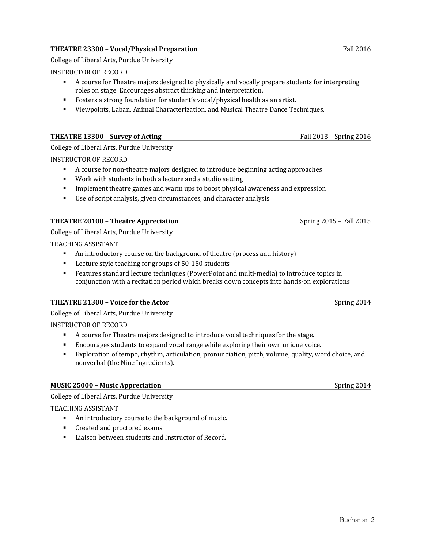College of Liberal Arts, Purdue University

INSTRUCTOR OF RECORD

- A course for Theatre majors designed to physically and vocally prepare students for interpreting roles on stage. Encourages abstract thinking and interpretation.
- Fosters a strong foundation for student's vocal/physical health as an artist.
- Viewpoints, Laban, Animal Characterization, and Musical Theatre Dance Techniques.

| THEATRE 13300 – Survey of Acting | Fall 2013 - Spring 2016 |
|----------------------------------|-------------------------|
|                                  |                         |

College of Liberal Arts, Purdue University

INSTRUCTOR OF RECORD

- **•** A course for non-theatre majors designed to introduce beginning acting approaches
- Work with students in both a lecture and a studio setting
- **•** Implement theatre games and warm ups to boost physical awareness and expression
- Use of script analysis, given circumstances, and character analysis

| College of Liberal Arts, Purdue University |  |
|--------------------------------------------|--|

TEACHING ASSISTANT

- An introductory course on the background of theatre (process and history)
- Lecture style teaching for groups of 50-150 students
- Features standard lecture techniques (PowerPoint and multi-media) to introduce topics in conjunction with a recitation period which breaks down concepts into hands-on explorations

College of Liberal Arts, Purdue University

INSTRUCTOR OF RECORD

- A course for Theatre majors designed to introduce vocal techniques for the stage.
- **•** Encourages students to expand vocal range while exploring their own unique voice.
- Exploration of tempo, rhythm, articulation, pronunciation, pitch, volume, quality, word choice, and nonverbal (the Nine Ingredients).

### **MUSIC 25000 – Music Appreciation Spring 2014** Spring 2014

College of Liberal Arts, Purdue University

### TEACHING ASSISTANT

- **•** An introductory course to the background of music.
- Created and proctored exams.
- Liaison between students and Instructor of Record.

Spring 2014

**THEATRE 20100 - Theatre Appreciation** Spring 2015 - Fall 2015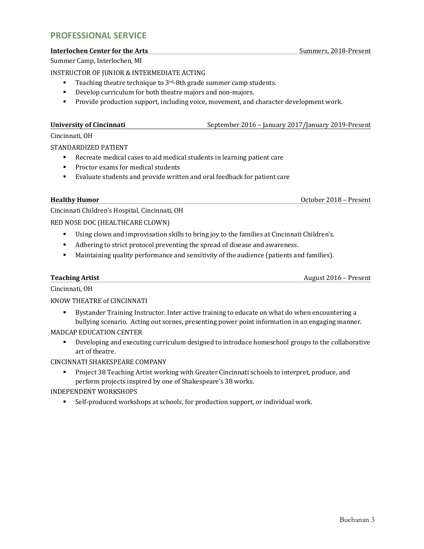# **PROFESSIONAL SERVICE**

# **Interlochen Center for the Arts**  $\sim$  Summers, 2018-Present

Summer Camp, Interlochen, MI

INSTRUCTOR OF JUNIOR & INTERMEDIATE ACTING

- **•** Teaching theatre technique to  $3^{rd}$ -8th grade summer camp students.
- Develop curriculum for both theatre majors and non-majors.
- Provide production support, including voice, movement, and character development work.

# **University of Cincinnati** September 2016 – January 2017/January 2019-Present

# Cincinnati, OH

STANDARDIZED PATIENT

- Recreate medical cases to aid medical students in learning patient care
- Proctor exams for medical students
- Evaluate students and provide written and oral feedback for patient care

**Healthy Humor Community Community Community Community Community Community Community Community Community Community Community Community Community Community Community Community Community Community Community Community Commu** 

Cincinnati Children's Hospital, Cincinnati, OH RED NOSE DOC (HEALTHCARE CLOWN)

- Using clown and improvisation skills to bring joy to the families at Cincinnati Children's.
- Adhering to strict protocol preventing the spread of disease and awareness.
- **•** Maintaining quality performance and sensitivity of the audience (patients and families).

**Teaching Artist August 2016 – Present** 

Cincinnati, OH

KNOW THEATRE of CINCINNATI

■ Bystander Training Instructor. Inter active training to educate on what do when encountering a bullying scenario. Acting out scenes, presenting power point information in an engaging manner.

MADCAP EDUCATION CENTER

• Developing and executing curriculum designed to introduce homeschool groups to the collaborative art of theatre.

CINCINNATI SHAKESPEARE COMPANY

Project 38 Teaching Artist working with Greater Cincinnati schools to interpret, produce, and perform projects inspired by one of Shakespeare's 38 works.

INDEPENDENT WORKSHOPS

• Self-produced workshops at schools, for production support, or individual work.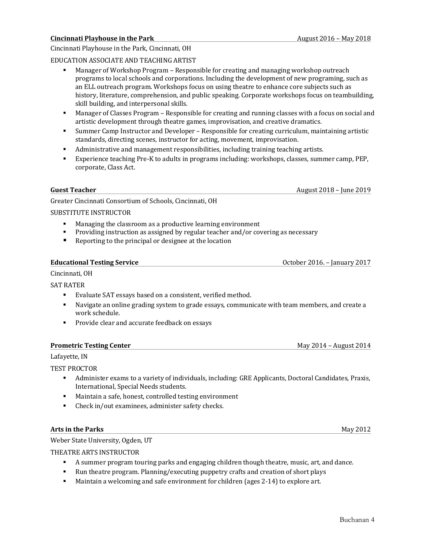#### **Cincinnati Playhouse in the Park** August 2016 – May 2018

Cincinnati Playhouse in the Park, Cincinnati, OH

#### EDUCATION ASSOCIATE AND TEACHING ARTIST

- Manager of Workshop Program Responsible for creating and managing workshop outreach programs to local schools and corporations. Including the development of new programing, such as an ELL outreach program. Workshops focus on using theatre to enhance core subjects such as history, literature, comprehension, and public speaking. Corporate workshops focus on teambuilding, skill building, and interpersonal skills.
- Manager of Classes Program Responsible for creating and running classes with a focus on social and artistic development through theatre games, improvisation, and creative dramatics.
- Summer Camp Instructor and Developer Responsible for creating curriculum, maintaining artistic standards, directing scenes, instructor for acting, movement, improvisation.
- Administrative and management responsibilities, including training teaching artists.
- Experience teaching Pre-K to adults in programs including: workshops, classes, summer camp, PEP, corporate, Class Act.

**Guest Teacher August 2018 – June 2019** 

Greater Cincinnati Consortium of Schools, Cincinnati, OH

#### SUBSTITUTE INSTRUCTOR

- Managing the classroom as a productive learning environment
- Providing instruction as assigned by regular teacher and/or covering as necessary
- Reporting to the principal or designee at the location

#### **Educational Testing Service Contract Contract Contract Contract Contract Contract Contract October 2016.** – January 2017

Cincinnati, OH

**SAT RATER** 

- Evaluate SAT essays based on a consistent, verified method.
- **•** Navigate an online grading system to grade essays, communicate with team members, and create a work schedule.
- Provide clear and accurate feedback on essays

#### **Prometric Testing Center** May 2014 – August 2014

Lafayette, IN

TEST PROCTOR

- Administer exams to a variety of individuals, including: GRE Applicants, Doctoral Candidates, Praxis, International, Special Needs students.
- Maintain a safe, honest, controlled testing environment
- Check in/out examinees, administer safety checks.

#### **Arts in the Parks** May 2012

Weber State University, Ogden, UT

THEATRE ARTS INSTRUCTOR

- **•** A summer program touring parks and engaging children though theatre, music, art, and dance.
- Run theatre program. Planning/executing puppetry crafts and creation of short plays
- Maintain a welcoming and safe environment for children (ages 2-14) to explore art.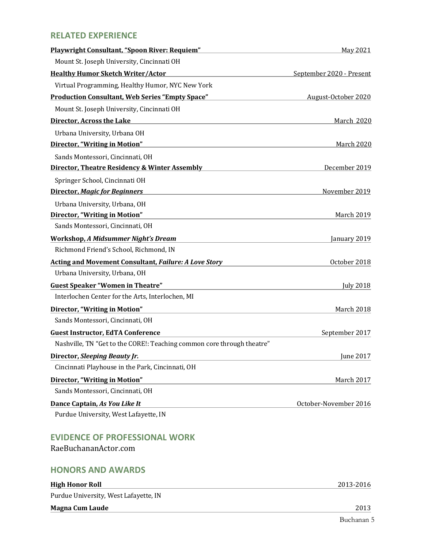# **RELATED EXPERIENCE**

| Playwright Consultant, "Spoon River: Requiem"                          | May 2021                 |
|------------------------------------------------------------------------|--------------------------|
| Mount St. Joseph University, Cincinnati OH                             |                          |
| <b>Healthy Humor Sketch Writer/Actor</b>                               | September 2020 - Present |
| Virtual Programming, Healthy Humor, NYC New York                       |                          |
| <b>Production Consultant, Web Series "Empty Space"</b>                 | August-October 2020      |
| Mount St. Joseph University, Cincinnati OH                             |                          |
| <b>Director, Across the Lake</b>                                       | March 2020               |
| Urbana University, Urbana OH                                           |                          |
| Director, "Writing in Motion"                                          | <b>March 2020</b>        |
| Sands Montessori, Cincinnati, OH                                       |                          |
| Director, Theatre Residency & Winter Assembly                          | December 2019            |
| Springer School, Cincinnati OH                                         |                          |
| <b>Director, Magic for Beginners</b>                                   | November 2019            |
| Urbana University, Urbana, OH                                          |                          |
| Director, "Writing in Motion"                                          | <b>March 2019</b>        |
| Sands Montessori, Cincinnati, OH                                       |                          |
| Workshop, A Midsummer Night's Dream                                    | January 2019             |
| Richmond Friend's School, Richmond, IN                                 |                          |
| Acting and Movement Consultant, Failure: A Love Story                  | October 2018             |
| Urbana University, Urbana, OH                                          |                          |
| <b>Guest Speaker "Women in Theatre"</b>                                | <b>July 2018</b>         |
| Interlochen Center for the Arts, Interlochen, MI                       |                          |
| Director, "Writing in Motion"                                          | March 2018               |
| Sands Montessori, Cincinnati, OH                                       |                          |
| <b>Guest Instructor, EdTA Conference</b>                               | September 2017           |
| Nashville, TN "Get to the CORE!: Teaching common core through theatre" |                          |
| Director, Sleeping Beauty Jr.                                          | June 2017                |
| Cincinnati Playhouse in the Park, Cincinnati, OH                       |                          |
| Director, "Writing in Motion"                                          | March 2017               |
| Sands Montessori, Cincinnati, OH                                       |                          |
| Dance Captain, As You Like It                                          | October-November 2016    |
| Purdue University, West Lafayette, IN                                  |                          |

# **EVIDENCE OF PROFESSIONAL WORK**

RaeBuchananActor.com

# **HONORS AND AWARDS**

| <b>High Honor Roll</b>                | 2013-2016 |
|---------------------------------------|-----------|
| Purdue University, West Lafayette, IN |           |
| Magna Cum Laude                       | 2013      |